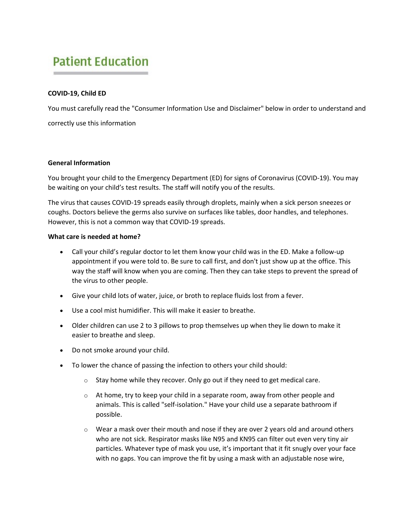# **Patient Education**

# **COVID-19, Child ED**

You must carefully read the "Consumer Information Use and Disclaimer" below in order to understand and correctly use this information

## **General Information**

You brought your child to the Emergency Department (ED) for signs of Coronavirus (COVID-19). You may be waiting on your child's test results. The staff will notify you of the results.

The virus that causes COVID-19 spreads easily through droplets, mainly when a sick person sneezes or coughs. Doctors believe the germs also survive on surfaces like tables, door handles, and telephones. However, this is not a common way that COVID-19 spreads.

## **What care is needed at home?**

- Call your child's regular doctor to let them know your child was in the ED. Make a follow-up appointment if you were told to. Be sure to call first, and don't just show up at the office. This way the staff will know when you are coming. Then they can take steps to prevent the spread of the virus to other people.
- Give your child lots of water, juice, or broth to replace fluids lost from a fever.
- Use a cool mist humidifier. This will make it easier to breathe.
- Older children can use 2 to 3 pillows to prop themselves up when they lie down to make it easier to breathe and sleep.
- Do not smoke around your child.
- To lower the chance of passing the infection to others your child should:
	- o Stay home while they recover. Only go out if they need to get medical care.
	- $\circ$  At home, try to keep your child in a separate room, away from other people and animals. This is called "self-isolation." Have your child use a separate bathroom if possible.
	- $\circ$  Wear a mask over their mouth and nose if they are over 2 years old and around others who are not sick. Respirator masks like N95 and KN95 can filter out even very tiny air particles. Whatever type of mask you use, it's important that it fit snugly over your face with no gaps. You can improve the fit by using a mask with an adjustable nose wire,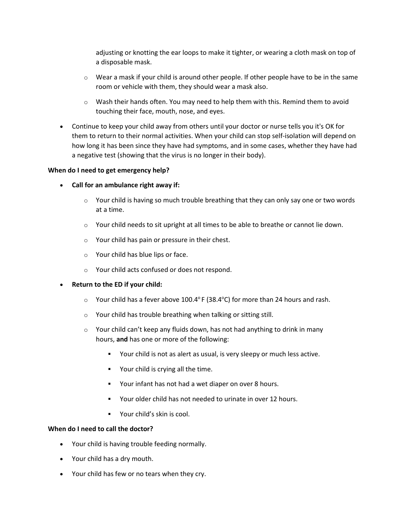adjusting or knotting the ear loops to make it tighter, or wearing a cloth mask on top of a disposable mask.

- $\circ$  Wear a mask if your child is around other people. If other people have to be in the same room or vehicle with them, they should wear a mask also.
- $\circ$  Wash their hands often. You may need to help them with this. Remind them to avoid touching their face, mouth, nose, and eyes.
- Continue to keep your child away from others until your doctor or nurse tells you it's OK for them to return to their normal activities. When your child can stop self-isolation will depend on how long it has been since they have had symptoms, and in some cases, whether they have had a negative test (showing that the virus is no longer in their body).

## **When do I need to get emergency help?**

- **Call for an ambulance right away if:**
	- $\circ$  Your child is having so much trouble breathing that they can only say one or two words at a time.
	- $\circ$  Your child needs to sit upright at all times to be able to breathe or cannot lie down.
	- o Your child has pain or pressure in their chest.
	- o Your child has blue lips or face.
	- o Your child acts confused or does not respond.

#### • **Return to the ED if your child:**

- $\circ$  Your child has a fever above 100.4 $^{\circ}$  F (38.4 $^{\circ}$ C) for more than 24 hours and rash.
- o Your child has trouble breathing when talking or sitting still.
- o Your child can't keep any fluids down, has not had anything to drink in many hours, **and** has one or more of the following:
	- Your child is not as alert as usual, is very sleepy or much less active.
	- Your child is crying all the time.
	- Your infant has not had a wet diaper on over 8 hours.
	- Your older child has not needed to urinate in over 12 hours.
	- Your child's skin is cool.

#### **When do I need to call the doctor?**

- Your child is having trouble feeding normally.
- Your child has a dry mouth.
- Your child has few or no tears when they cry.